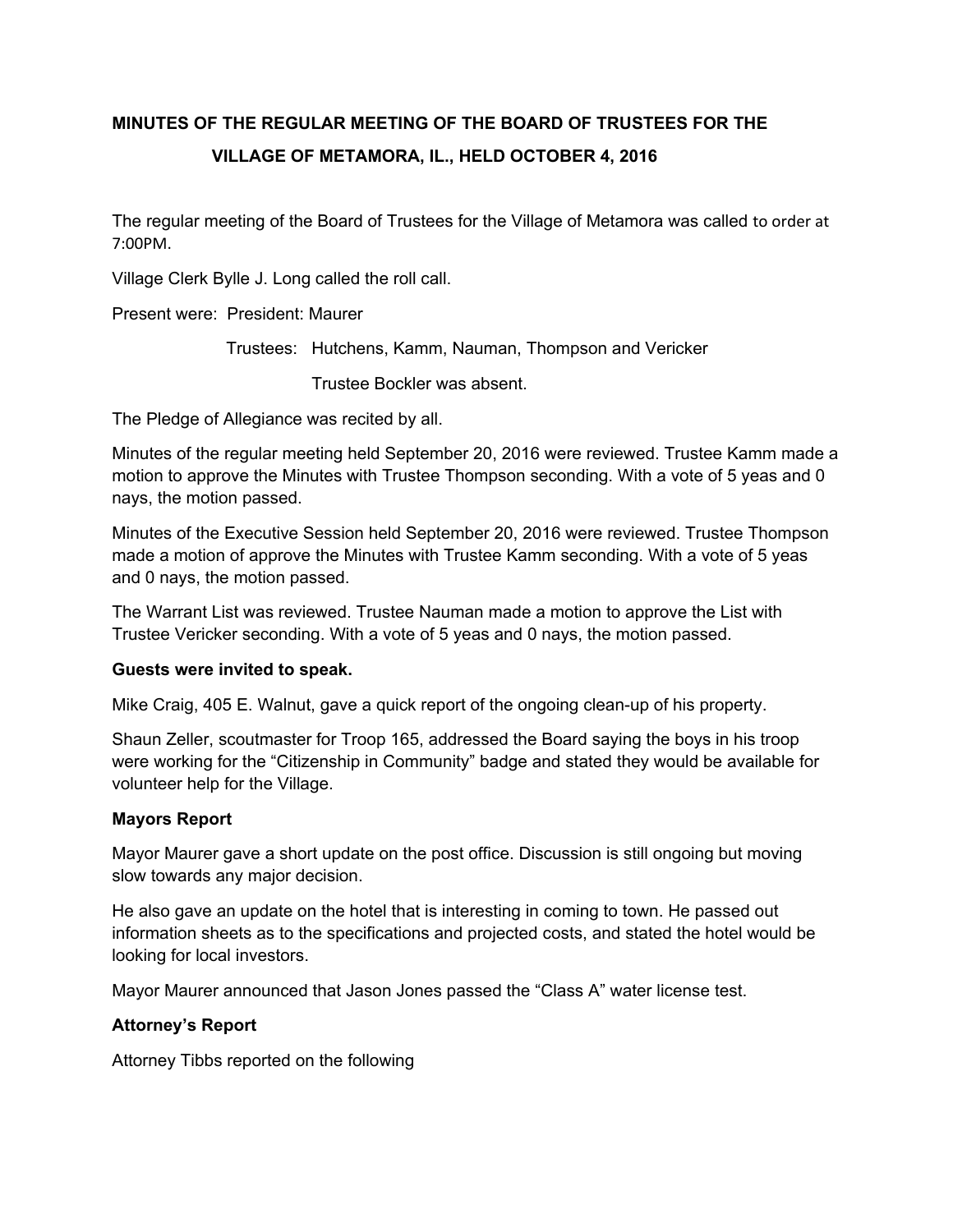# **MINUTES OF THE REGULAR MEETING OF THE BOARD OF TRUSTEES FOR THE VILLAGE OF METAMORA, IL., HELD OCTOBER 4, 2016**

The regular meeting of the Board of Trustees for the Village of Metamora was called to order at 7:00PM.

Village Clerk Bylle J. Long called the roll call.

Present were: President: Maurer

Trustees: Hutchens, Kamm, Nauman, Thompson and Vericker

Trustee Bockler was absent.

The Pledge of Allegiance was recited by all.

Minutes of the regular meeting held September 20, 2016 were reviewed. Trustee Kamm made a motion to approve the Minutes with Trustee Thompson seconding. With a vote of 5 yeas and 0 nays, the motion passed.

Minutes of the Executive Session held September 20, 2016 were reviewed. Trustee Thompson made a motion of approve the Minutes with Trustee Kamm seconding. With a vote of 5 yeas and 0 nays, the motion passed.

The Warrant List was reviewed. Trustee Nauman made a motion to approve the List with Trustee Vericker seconding. With a vote of 5 yeas and 0 nays, the motion passed.

## **Guests were invited to speak.**

Mike Craig, 405 E. Walnut, gave a quick report of the ongoing clean-up of his property.

Shaun Zeller, scoutmaster for Troop 165, addressed the Board saying the boys in his troop were working for the "Citizenship in Community" badge and stated they would be available for volunteer help for the Village.

## **Mayors Report**

Mayor Maurer gave a short update on the post office. Discussion is still ongoing but moving slow towards any major decision.

He also gave an update on the hotel that is interesting in coming to town. He passed out information sheets as to the specifications and projected costs, and stated the hotel would be looking for local investors.

Mayor Maurer announced that Jason Jones passed the "Class A" water license test.

## **Attorney's Report**

Attorney Tibbs reported on the following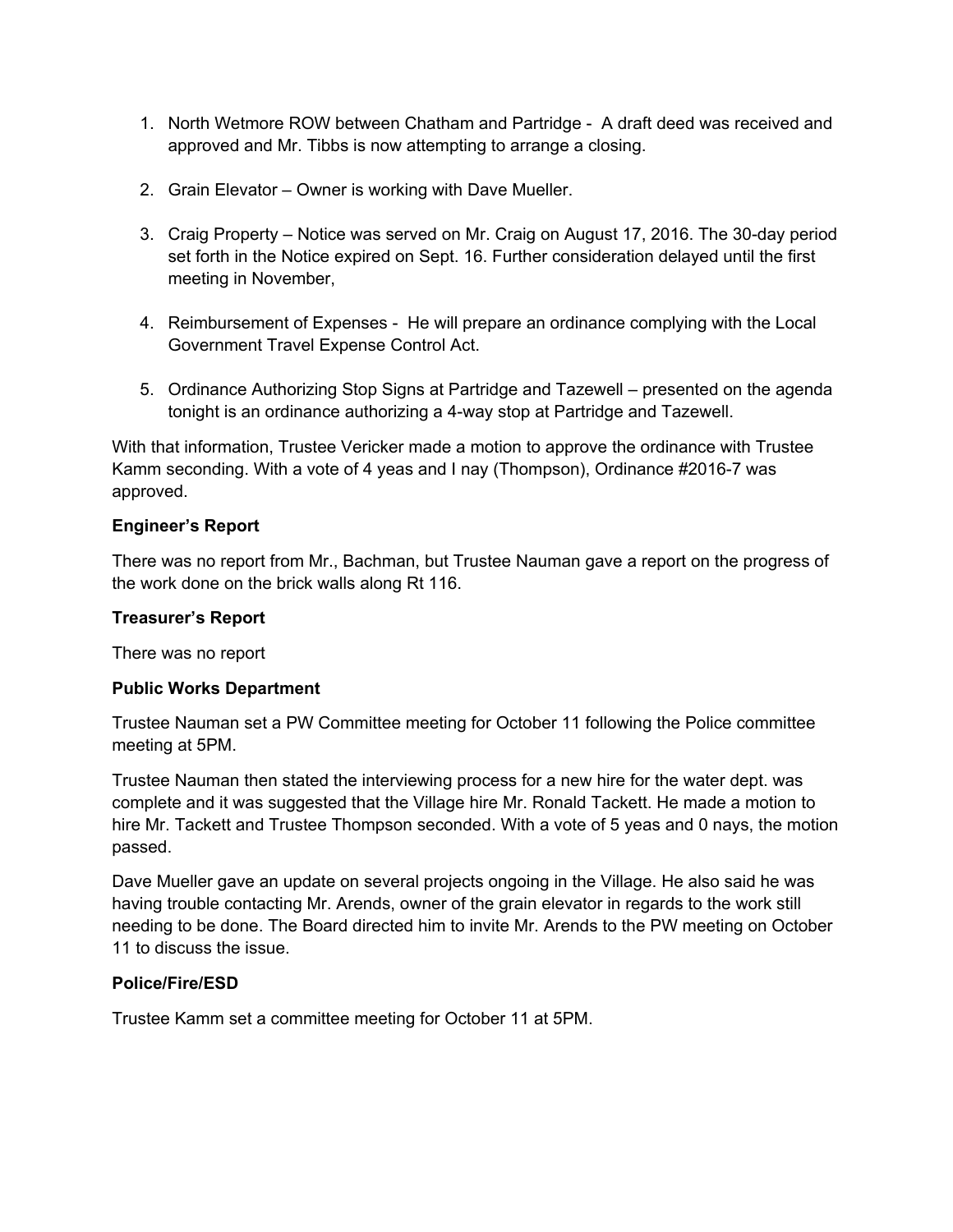- 1. North Wetmore ROW between Chatham and Partridge A draft deed was received and approved and Mr. Tibbs is now attempting to arrange a closing.
- 2. Grain Elevator Owner is working with Dave Mueller.
- 3. Craig Property Notice was served on Mr. Craig on August 17, 2016. The 30-day period set forth in the Notice expired on Sept. 16. Further consideration delayed until the first meeting in November,
- 4. Reimbursement of Expenses He will prepare an ordinance complying with the Local Government Travel Expense Control Act.
- 5. Ordinance Authorizing Stop Signs at Partridge and Tazewell presented on the agenda tonight is an ordinance authorizing a 4-way stop at Partridge and Tazewell.

With that information, Trustee Vericker made a motion to approve the ordinance with Trustee Kamm seconding. With a vote of 4 yeas and I nay (Thompson), Ordinance #2016-7 was approved.

# **Engineer's Report**

There was no report from Mr., Bachman, but Trustee Nauman gave a report on the progress of the work done on the brick walls along Rt 116.

## **Treasurer's Report**

There was no report

## **Public Works Department**

Trustee Nauman set a PW Committee meeting for October 11 following the Police committee meeting at 5PM.

Trustee Nauman then stated the interviewing process for a new hire for the water dept. was complete and it was suggested that the Village hire Mr. Ronald Tackett. He made a motion to hire Mr. Tackett and Trustee Thompson seconded. With a vote of 5 yeas and 0 nays, the motion passed.

Dave Mueller gave an update on several projects ongoing in the Village. He also said he was having trouble contacting Mr. Arends, owner of the grain elevator in regards to the work still needing to be done. The Board directed him to invite Mr. Arends to the PW meeting on October 11 to discuss the issue.

## **Police/Fire/ESD**

Trustee Kamm set a committee meeting for October 11 at 5PM.